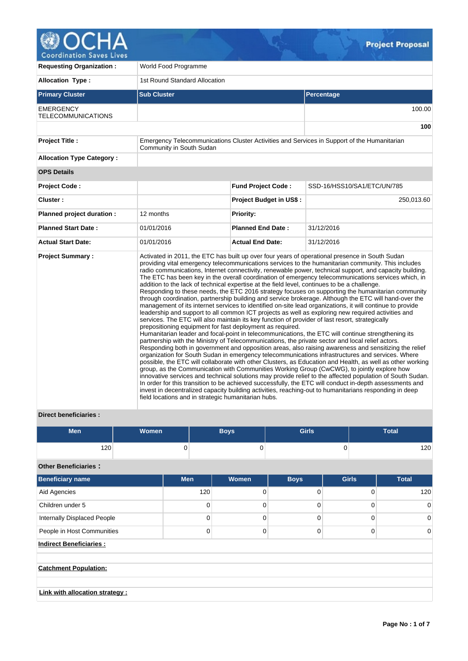

| <b>Requesting Organization:</b>        | World Food Programme                                                                                                                                                                                                                                                                                                |                                |                                                                                                                                                                                                                                                                                                                                                                                                                                                                                                                                                                                                                                                                                                                                                                                                                                                                                                                                                                                                                                                                                                                                                                                                                                                                                                                                                                                                                                                                                                                                                                                                                                                                                                                                                                                                                             |  |  |  |  |  |
|----------------------------------------|---------------------------------------------------------------------------------------------------------------------------------------------------------------------------------------------------------------------------------------------------------------------------------------------------------------------|--------------------------------|-----------------------------------------------------------------------------------------------------------------------------------------------------------------------------------------------------------------------------------------------------------------------------------------------------------------------------------------------------------------------------------------------------------------------------------------------------------------------------------------------------------------------------------------------------------------------------------------------------------------------------------------------------------------------------------------------------------------------------------------------------------------------------------------------------------------------------------------------------------------------------------------------------------------------------------------------------------------------------------------------------------------------------------------------------------------------------------------------------------------------------------------------------------------------------------------------------------------------------------------------------------------------------------------------------------------------------------------------------------------------------------------------------------------------------------------------------------------------------------------------------------------------------------------------------------------------------------------------------------------------------------------------------------------------------------------------------------------------------------------------------------------------------------------------------------------------------|--|--|--|--|--|
| <b>Allocation Type:</b>                | 1st Round Standard Allocation                                                                                                                                                                                                                                                                                       |                                |                                                                                                                                                                                                                                                                                                                                                                                                                                                                                                                                                                                                                                                                                                                                                                                                                                                                                                                                                                                                                                                                                                                                                                                                                                                                                                                                                                                                                                                                                                                                                                                                                                                                                                                                                                                                                             |  |  |  |  |  |
| <b>Primary Cluster</b>                 | <b>Sub Cluster</b>                                                                                                                                                                                                                                                                                                  |                                | Percentage                                                                                                                                                                                                                                                                                                                                                                                                                                                                                                                                                                                                                                                                                                                                                                                                                                                                                                                                                                                                                                                                                                                                                                                                                                                                                                                                                                                                                                                                                                                                                                                                                                                                                                                                                                                                                  |  |  |  |  |  |
| <b>EMERGENCY</b><br>TELECOMMUNICATIONS |                                                                                                                                                                                                                                                                                                                     |                                | 100.00                                                                                                                                                                                                                                                                                                                                                                                                                                                                                                                                                                                                                                                                                                                                                                                                                                                                                                                                                                                                                                                                                                                                                                                                                                                                                                                                                                                                                                                                                                                                                                                                                                                                                                                                                                                                                      |  |  |  |  |  |
|                                        |                                                                                                                                                                                                                                                                                                                     |                                | 100                                                                                                                                                                                                                                                                                                                                                                                                                                                                                                                                                                                                                                                                                                                                                                                                                                                                                                                                                                                                                                                                                                                                                                                                                                                                                                                                                                                                                                                                                                                                                                                                                                                                                                                                                                                                                         |  |  |  |  |  |
| <b>Project Title:</b>                  | Emergency Telecommunications Cluster Activities and Services in Support of the Humanitarian<br>Community in South Sudan                                                                                                                                                                                             |                                |                                                                                                                                                                                                                                                                                                                                                                                                                                                                                                                                                                                                                                                                                                                                                                                                                                                                                                                                                                                                                                                                                                                                                                                                                                                                                                                                                                                                                                                                                                                                                                                                                                                                                                                                                                                                                             |  |  |  |  |  |
| <b>Allocation Type Category:</b>       |                                                                                                                                                                                                                                                                                                                     |                                |                                                                                                                                                                                                                                                                                                                                                                                                                                                                                                                                                                                                                                                                                                                                                                                                                                                                                                                                                                                                                                                                                                                                                                                                                                                                                                                                                                                                                                                                                                                                                                                                                                                                                                                                                                                                                             |  |  |  |  |  |
| <b>OPS Details</b>                     |                                                                                                                                                                                                                                                                                                                     |                                |                                                                                                                                                                                                                                                                                                                                                                                                                                                                                                                                                                                                                                                                                                                                                                                                                                                                                                                                                                                                                                                                                                                                                                                                                                                                                                                                                                                                                                                                                                                                                                                                                                                                                                                                                                                                                             |  |  |  |  |  |
| <b>Project Code:</b>                   |                                                                                                                                                                                                                                                                                                                     | <b>Fund Project Code:</b>      | SSD-16/HSS10/SA1/ETC/UN/785                                                                                                                                                                                                                                                                                                                                                                                                                                                                                                                                                                                                                                                                                                                                                                                                                                                                                                                                                                                                                                                                                                                                                                                                                                                                                                                                                                                                                                                                                                                                                                                                                                                                                                                                                                                                 |  |  |  |  |  |
| Cluster:                               |                                                                                                                                                                                                                                                                                                                     | <b>Project Budget in US\$:</b> | 250,013.60                                                                                                                                                                                                                                                                                                                                                                                                                                                                                                                                                                                                                                                                                                                                                                                                                                                                                                                                                                                                                                                                                                                                                                                                                                                                                                                                                                                                                                                                                                                                                                                                                                                                                                                                                                                                                  |  |  |  |  |  |
| Planned project duration :             | 12 months                                                                                                                                                                                                                                                                                                           | <b>Priority:</b>               |                                                                                                                                                                                                                                                                                                                                                                                                                                                                                                                                                                                                                                                                                                                                                                                                                                                                                                                                                                                                                                                                                                                                                                                                                                                                                                                                                                                                                                                                                                                                                                                                                                                                                                                                                                                                                             |  |  |  |  |  |
| <b>Planned Start Date:</b>             | 01/01/2016                                                                                                                                                                                                                                                                                                          | <b>Planned End Date:</b>       | 31/12/2016                                                                                                                                                                                                                                                                                                                                                                                                                                                                                                                                                                                                                                                                                                                                                                                                                                                                                                                                                                                                                                                                                                                                                                                                                                                                                                                                                                                                                                                                                                                                                                                                                                                                                                                                                                                                                  |  |  |  |  |  |
| <b>Actual Start Date:</b>              | 01/01/2016                                                                                                                                                                                                                                                                                                          | <b>Actual End Date:</b>        | 31/12/2016                                                                                                                                                                                                                                                                                                                                                                                                                                                                                                                                                                                                                                                                                                                                                                                                                                                                                                                                                                                                                                                                                                                                                                                                                                                                                                                                                                                                                                                                                                                                                                                                                                                                                                                                                                                                                  |  |  |  |  |  |
| <b>Project Summary:</b>                | addition to the lack of technical expertise at the field level, continues to be a challenge.<br>services. The ETC will also maintain its key function of provider of last resort, strategically<br>prepositioning equipment for fast deployment as required.<br>field locations and in strategic humanitarian hubs. |                                | Activated in 2011, the ETC has built up over four years of operational presence in South Sudan<br>providing vital emergency telecommunications services to the humanitarian community. This includes<br>radio communications, Internet connectivity, renewable power, technical support, and capacity building.<br>The ETC has been key in the overall coordination of emergency telecommunications services which, in<br>Responding to these needs, the ETC 2016 strategy focuses on supporting the humanitarian community<br>through coordination, partnership building and service brokerage. Although the ETC will hand-over the<br>management of its internet services to identified on-site lead organizations, it will continue to provide<br>leadership and support to all common ICT projects as well as exploring new required activities and<br>Humanitarian leader and focal-point in telecommunications, the ETC will continue strengthening its<br>partnership with the Ministry of Telecommunications, the private sector and local relief actors.<br>Responding both in government and opposition areas, also raising awareness and sensitizing the relief<br>organization for South Sudan in emergency telecommunications infrastructures and services. Where<br>possible, the ETC will collaborate with other Clusters, as Education and Health, as well as other working<br>group, as the Communication with Communities Working Group (CwCWG), to jointly explore how<br>innovative services and technical solutions may provide relief to the affected population of South Sudan.<br>In order for this transition to be achieved successfully, the ETC will conduct in-depth assessments and<br>invest in decentralized capacity building activities, reaching-out to humanitarians responding in deep |  |  |  |  |  |

# **Direct beneficiaries :**

| <b>Men</b> | <b>Women</b> | Boys' | <b>Girls</b> | Total |
|------------|--------------|-------|--------------|-------|
| 120        |              |       | ີ            | 120   |

**Other Beneficiaries :**

| <b>Beneficiary name</b>            | <b>Men</b> | <b>Women</b> | <b>Boys</b> | <b>Girls</b> | <b>Total</b> |  |  |  |  |
|------------------------------------|------------|--------------|-------------|--------------|--------------|--|--|--|--|
| Aid Agencies                       | 120        | 0            | $\Omega$    | 0            | 120          |  |  |  |  |
| Children under 5                   | 0          | $\Omega$     | ∩           | 0            | $\Omega$     |  |  |  |  |
| <b>Internally Displaced People</b> | $\Omega$   | 0            | 0           | 0            | $\Omega$     |  |  |  |  |
| People in Host Communities         | 0          | 0            | 0           | 0            | $\Omega$     |  |  |  |  |
| <b>Indirect Beneficiaries:</b>     |            |              |             |              |              |  |  |  |  |
| <b>Catchment Population:</b>       |            |              |             |              |              |  |  |  |  |
| Link with allocation strategy :    |            |              |             |              |              |  |  |  |  |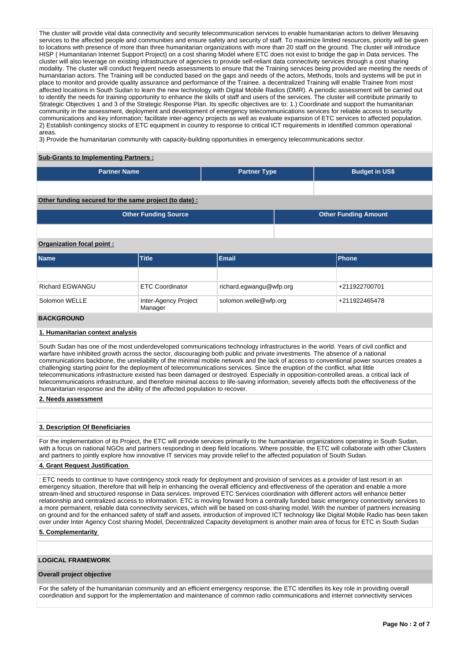The cluster will provide vital data connectivity and security telecommunication services to enable humanitarian actors to deliver lifesaving services to the affected people and communities and ensure safety and security of staff. To maximize limited resources, priority will be given to locations with presence of more than three humanitarian organizations with more than 20 staff on the ground. The cluster will introduce HISP ( Humanitarian Internet Support Project) on a cost sharing Model where ETC does not exist to bridge the gap in Data services. The cluster will also leverage on existing infrastructure of agencies to provide self-reliant data connectivity services through a cost sharing modality. The cluster will conduct frequent needs assessments to ensure that the Training services being provided are meeting the needs of humanitarian actors. The Training will be conducted based on the gaps and needs of the actors, Methods, tools and systems will be put in place to monitor and provide quality assurance and performance of the Trainee. a decentralized Training will enable Trainee from most affected locations in South Sudan to learn the new technology with Digital Mobile Radios (DMR). A periodic assessment will be carried out to identify the needs for training opportunity to enhance the skills of staff and users of the services. The cluster will contribute primarily to Strategic Objectives 1 and 3 of the Strategic Response Plan. Its specific objectives are to: 1.) Coordinate and support the humanitarian community in the assessment, deployment and development of emergency telecommunications services for reliable access to security communications and key information; facilitate inter-agency projects as well as evaluate expansion of ETC services to affected population. 2) Establish contingency stocks of ETC equipment in country to response to critical ICT requirements in identified common operational areas.

3) Provide the humanitarian community with capacity-building opportunities in emergency telecommunications sector.

### **Sub-Grants to Implementing Partners :**

| <b>Partner Name</b>                                    | <b>Partner Type</b> | <b>Budget in US\$</b>       |
|--------------------------------------------------------|---------------------|-----------------------------|
|                                                        |                     |                             |
| Other funding secured for the same project (to date) : |                     |                             |
| <b>Other Funding Source</b>                            |                     | <b>Other Funding Amount</b> |
|                                                        |                     |                             |

## **Organization focal point :**

| <b>Name</b>            | <b>Title</b>                    | <b>Email</b>            | Phone         |
|------------------------|---------------------------------|-------------------------|---------------|
|                        |                                 |                         |               |
| <b>Richard EGWANGU</b> | <b>ETC Coordinator</b>          | richard.egwangu@wfp.org | +211922700701 |
| Solomon WELLE          | Inter-Agency Project<br>Manager | solomon.welle@wfp.org   | +211922465478 |
| <b>DAAI/ADAIIND</b>    |                                 |                         |               |

#### **BACKGROUND**

### **1. Humanitarian context analysis**

South Sudan has one of the most underdeveloped communications technology infrastructures in the world. Years of civil conflict and warfare have inhibited growth across the sector, discouraging both public and private investments. The absence of a national communications backbone, the unreliability of the minimal mobile network and the lack of access to conventional power sources creates a challenging starting point for the deployment of telecommunications services. Since the eruption of the conflict, what little telecommunications infrastructure existed has been damaged or destroyed. Especially in opposition-controlled areas, a critical lack of telecommunications infrastructure, and therefore minimal access to life-saving information, severely affects both the effectiveness of the humanitarian response and the ability of the affected population to recover.

#### **2. Needs assessment**

### **3. Description Of Beneficiaries**

For the implementation of its Project, the ETC will provide services primarily to the humanitarian organizations operating in South Sudan, with a focus on national NGOs and partners responding in deep field locations. Where possible, the ETC will collaborate with other Clusters and partners to jointly explore how innovative IT services may provide relief to the affected population of South Sudan.

## **4. Grant Request Justification**

: ETC needs to continue to have contingency stock ready for deployment and provision of services as a provider of last resort in an emergency situation, therefore that will help in enhancing the overall efficiency and effectiveness of the operation and enable a more stream-lined and structured response in Data services. Improved ETC Services coordination with different actors will enhance better relationship and centralized access to information. ETC is moving forward from a centrally funded basic emergency connectivity services to a more permanent, reliable data connectivity services, which will be based on cost-sharing model. With the number of partners increasing on ground and for the enhanced safety of staff and assets, introduction of improved ICT technology like Digital Mobile Radio has been taken over under Inter Agency Cost sharing Model, Decentralized Capacity development is another main area of focus for ETC in South Sudan

#### **5. Complementarity**

### **LOGICAL FRAMEWORK**

#### **Overall project objective**

For the safety of the humanitarian community and an efficient emergency response, the ETC identifies its key role in providing overall coordination and support for the implementation and maintenance of common radio communications and internet connectivity services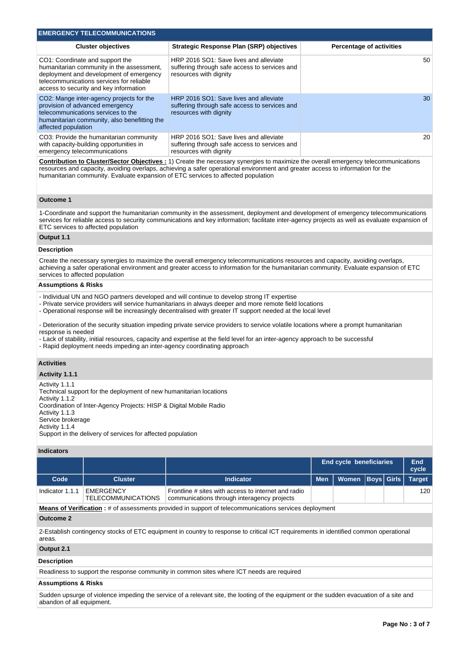| <b>EMERGENCY TELECOMMUNICATIONS</b>                                                                                                                                                                                                                                                                                   |                                                                                                                                                                                                                                                                                     |                                 |  |  |  |  |  |
|-----------------------------------------------------------------------------------------------------------------------------------------------------------------------------------------------------------------------------------------------------------------------------------------------------------------------|-------------------------------------------------------------------------------------------------------------------------------------------------------------------------------------------------------------------------------------------------------------------------------------|---------------------------------|--|--|--|--|--|
| <b>Cluster objectives</b>                                                                                                                                                                                                                                                                                             | <b>Strategic Response Plan (SRP) objectives</b>                                                                                                                                                                                                                                     | <b>Percentage of activities</b> |  |  |  |  |  |
| CO1: Coordinate and support the<br>humanitarian community in the assessment,<br>deployment and development of emergency<br>telecommunications services for reliable<br>access to security and key information                                                                                                         | HRP 2016 SO1: Save lives and alleviate<br>suffering through safe access to services and<br>resources with dignity                                                                                                                                                                   | 50                              |  |  |  |  |  |
| CO2: Mange inter-agency projects for the<br>provision of advanced emergency<br>telecommunications services to the<br>humanitarian community, also benefitting the<br>affected population                                                                                                                              | HRP 2016 SO1: Save lives and alleviate<br>suffering through safe access to services and<br>resources with dignity                                                                                                                                                                   | 30                              |  |  |  |  |  |
| CO3: Provide the humanitarian community<br>with capacity-building opportunities in<br>emergency telecommunications                                                                                                                                                                                                    | HRP 2016 SO1: Save lives and alleviate<br>suffering through safe access to services and<br>resources with dignity                                                                                                                                                                   | 20                              |  |  |  |  |  |
| humanitarian community. Evaluate expansion of ETC services to affected population                                                                                                                                                                                                                                     | <b>Contribution to Cluster/Sector Objectives:</b> 1) Create the necessary synergies to maximize the overall emergency telecommunications<br>resources and capacity, avoiding overlaps, achieving a safer operational environment and greater access to information for the          |                                 |  |  |  |  |  |
| <b>Outcome 1</b>                                                                                                                                                                                                                                                                                                      |                                                                                                                                                                                                                                                                                     |                                 |  |  |  |  |  |
| ETC services to affected population                                                                                                                                                                                                                                                                                   | 1-Coordinate and support the humanitarian community in the assessment, deployment and development of emergency telecommunications<br>services for reliable access to security communications and key information; facilitate inter-agency projects as well as evaluate expansion of |                                 |  |  |  |  |  |
| Output 1.1                                                                                                                                                                                                                                                                                                            |                                                                                                                                                                                                                                                                                     |                                 |  |  |  |  |  |
| <b>Description</b>                                                                                                                                                                                                                                                                                                    |                                                                                                                                                                                                                                                                                     |                                 |  |  |  |  |  |
| services to affected population                                                                                                                                                                                                                                                                                       | Create the necessary synergies to maximize the overall emergency telecommunications resources and capacity, avoiding overlaps,<br>achieving a safer operational environment and greater access to information for the humanitarian community. Evaluate expansion of ETC             |                                 |  |  |  |  |  |
| <b>Assumptions &amp; Risks</b>                                                                                                                                                                                                                                                                                        |                                                                                                                                                                                                                                                                                     |                                 |  |  |  |  |  |
| - Individual UN and NGO partners developed and will continue to develop strong IT expertise<br>- Private service providers will service humanitarians in always deeper and more remote field locations<br>- Operational response will be increasingly decentralised with greater IT support needed at the local level |                                                                                                                                                                                                                                                                                     |                                 |  |  |  |  |  |
| response is needed                                                                                                                                                                                                                                                                                                    | - Deterioration of the security situation impeding private service providers to service volatile locations where a prompt humanitarian                                                                                                                                              |                                 |  |  |  |  |  |

- Lack of stability, initial resources, capacity and expertise at the field level for an inter-agency approach to be successful
- Rapid deployment needs impeding an inter-agency coordinating approach

## **Activities**

## **Activity 1.1.1**

Activity 1.1.1

Technical support for the deployment of new humanitarian locations

Activity 1.1.2 Coordination of Inter-Agency Projects: HISP & Digital Mobile Radio

Activity 1.1.3

- Service brokerage
- Activity 1.1.4

Support in the delivery of services for affected population

### **Indicators**

|                  |                                               |                                                                                                                                      |            | End cycle beneficiaries |  |  |               |
|------------------|-----------------------------------------------|--------------------------------------------------------------------------------------------------------------------------------------|------------|-------------------------|--|--|---------------|
| Code             | <b>Cluster</b>                                | <b>Indicator</b>                                                                                                                     | <b>Men</b> | Women Boys Girls        |  |  | <b>Target</b> |
| Indicator 1.1.1  | <b>EMERGENCY</b><br><b>TELECOMMUNICATIONS</b> | Frontline # sites with access to internet and radio<br>communications through interagency projects                                   |            |                         |  |  | 120           |
|                  |                                               | <b>Means of Verification</b> : # of assessments provided in support of telecommunications services deployment                        |            |                         |  |  |               |
| <b>Outcome 2</b> |                                               |                                                                                                                                      |            |                         |  |  |               |
|                  |                                               | 2-Establish contingency stocks of ETC equipment in country to response to critical ICT requirements in identified common operational |            |                         |  |  |               |

2-Establish contingency stocks of ETC equipment in country to response to critical ICT requirements in identified common operational areas.

## **Output 2.1**

### **Description**

Readiness to support the response community in common sites where ICT needs are required

## **Assumptions & Risks**

Sudden upsurge of violence impeding the service of a relevant site, the looting of the equipment or the sudden evacuation of a site and abandon of all equipment.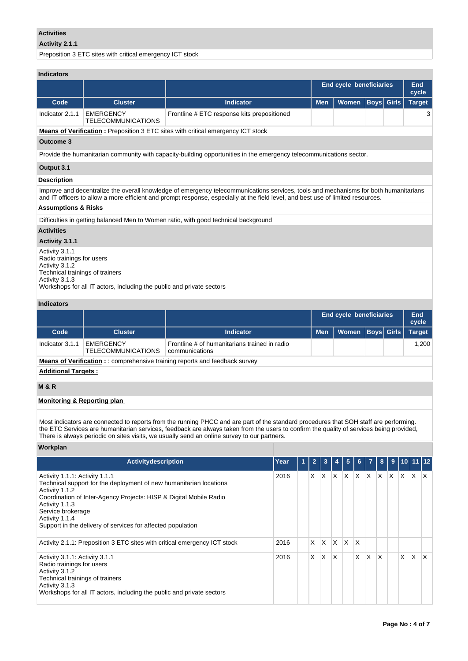## **Activities**

## **Activity 2.1.1**

Preposition 3 ETC sites with critical emergency ICT stock

## **Indicators**

|                                                                                                                     |                                        |                                                                                                                                                                                                                                                                          | <b>End cycle beneficiaries</b> | End<br>cycle      |               |  |  |  |  |
|---------------------------------------------------------------------------------------------------------------------|----------------------------------------|--------------------------------------------------------------------------------------------------------------------------------------------------------------------------------------------------------------------------------------------------------------------------|--------------------------------|-------------------|---------------|--|--|--|--|
| Code                                                                                                                | <b>Cluster</b>                         | <b>Indicator</b>                                                                                                                                                                                                                                                         | <b>Men</b>                     | <b>Boys Girls</b> | <b>Target</b> |  |  |  |  |
| Indicator 2.1.1                                                                                                     | EMERGENCY<br><b>TELECOMMUNICATIONS</b> | Frontline # ETC response kits prepositioned                                                                                                                                                                                                                              |                                |                   | 3             |  |  |  |  |
| <b>Means of Verification:</b> Preposition 3 ETC sites with critical emergency ICT stock                             |                                        |                                                                                                                                                                                                                                                                          |                                |                   |               |  |  |  |  |
| Outcome 3                                                                                                           |                                        |                                                                                                                                                                                                                                                                          |                                |                   |               |  |  |  |  |
| Provide the humanitarian community with capacity-building opportunities in the emergency telecommunications sector. |                                        |                                                                                                                                                                                                                                                                          |                                |                   |               |  |  |  |  |
| Output 3.1                                                                                                          |                                        |                                                                                                                                                                                                                                                                          |                                |                   |               |  |  |  |  |
| <b>Description</b>                                                                                                  |                                        |                                                                                                                                                                                                                                                                          |                                |                   |               |  |  |  |  |
|                                                                                                                     |                                        | Improve and decentralize the overall knowledge of emergency telecommunications services, tools and mechanisms for both humanitarians<br>and IT officers to allow a more efficient and prompt response, especially at the field level, and best use of limited resources. |                                |                   |               |  |  |  |  |
| <b>Assumptions &amp; Risks</b>                                                                                      |                                        |                                                                                                                                                                                                                                                                          |                                |                   |               |  |  |  |  |
|                                                                                                                     |                                        | Difficulties in getting balanced Men to Women ratio, with good technical background                                                                                                                                                                                      |                                |                   |               |  |  |  |  |
| <b>Activities</b>                                                                                                   |                                        |                                                                                                                                                                                                                                                                          |                                |                   |               |  |  |  |  |
| Activity 3.1.1                                                                                                      |                                        |                                                                                                                                                                                                                                                                          |                                |                   |               |  |  |  |  |
| Activity 3.1.1                                                                                                      |                                        |                                                                                                                                                                                                                                                                          |                                |                   |               |  |  |  |  |

Radio trainings for users Activity 3.1.2 Technical trainings of trainers Activity 3.1.3 Workshops for all IT actors, including the public and private sectors

## **Indicators**

|                                                                                     |                                               |                                                                 |            | End cycle beneficiaries |  |  | End<br>cycle  |  |
|-------------------------------------------------------------------------------------|-----------------------------------------------|-----------------------------------------------------------------|------------|-------------------------|--|--|---------------|--|
| Code                                                                                | <b>Cluster</b>                                | Indicator                                                       | <b>Men</b> | Women   Boys   Girls    |  |  | <b>Target</b> |  |
| Indicator 3.1.1                                                                     | <b>EMERGENCY</b><br><b>TELECOMMUNICATIONS</b> | Frontline # of humanitarians trained in radio<br>communications |            |                         |  |  | 1.200         |  |
| <b>Means of Verification:</b> :: comprehensive training reports and feedback survey |                                               |                                                                 |            |                         |  |  |               |  |
| <b>Additional Targets:</b>                                                          |                                               |                                                                 |            |                         |  |  |               |  |

# **M & R**

### **Monitoring & Reporting plan**

Most indicators are connected to reports from the running PHCC and are part of the standard procedures that SOH staff are performing. the ETC Services are humanitarian services, feedback are always taken from the users to confirm the quality of services being provided, There is always periodic on sites visits, we usually send an online survey to our partners.

## **Workplan**

| <b>Activitydescription</b>                                                                                                                                                                                                                                                                                           | Year | 1 | $\overline{2}$ | 3 |              | 5 | 6 | $\overline{7}$ | 8        |     | $9$ 10 11 12 |          |                         |
|----------------------------------------------------------------------------------------------------------------------------------------------------------------------------------------------------------------------------------------------------------------------------------------------------------------------|------|---|----------------|---|--------------|---|---|----------------|----------|-----|--------------|----------|-------------------------|
| Activity 1.1.1: Activity 1.1.1<br>Technical support for the deployment of new humanitarian locations<br>Activity 1.1.2<br>Coordination of Inter-Agency Projects: HISP & Digital Mobile Radio<br>Activity 1.1.3<br>Service brokerage<br>Activity 1.1.4<br>Support in the delivery of services for affected population | 2016 |   | X              | X | $\mathsf{X}$ | X | X | X              | ΙX.      | IX. | X.           | IX.      | $\mathsf{I} \mathsf{X}$ |
| Activity 2.1.1: Preposition 3 ETC sites with critical emergency ICT stock                                                                                                                                                                                                                                            | 2016 |   | X              | X | X.           | X | X |                |          |     |              |          |                         |
| Activity 3.1.1: Activity 3.1.1<br>Radio trainings for users<br>Activity 3.1.2<br>Technical trainings of trainers<br>Activity 3.1.3<br>Workshops for all IT actors, including the public and private sectors                                                                                                          | 2016 |   | $\times$       | X | X            |   | X | X              | $\times$ |     | X.           | $\times$ | ΙX                      |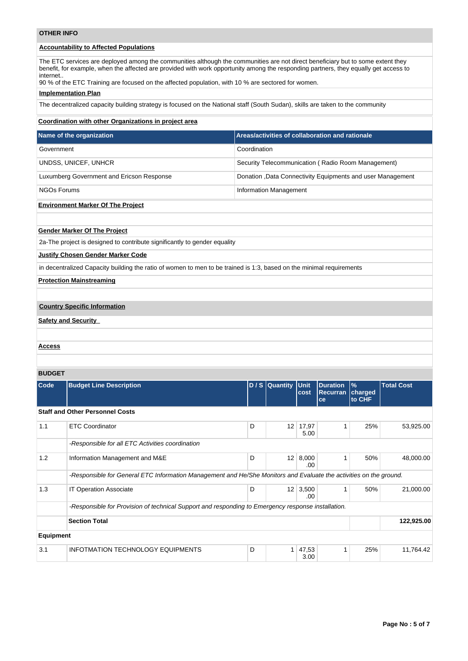| <b>OTHER INFO</b>  |                                                                                                                                                                                                                                                                                                                                                                               |              |                               |                        |                                                    |                           |                                                             |
|--------------------|-------------------------------------------------------------------------------------------------------------------------------------------------------------------------------------------------------------------------------------------------------------------------------------------------------------------------------------------------------------------------------|--------------|-------------------------------|------------------------|----------------------------------------------------|---------------------------|-------------------------------------------------------------|
|                    | <b>Accountability to Affected Populations</b>                                                                                                                                                                                                                                                                                                                                 |              |                               |                        |                                                    |                           |                                                             |
| internet           | The ETC services are deployed among the communities although the communities are not direct beneficiary but to some extent they<br>benefit, for example, when the affected are provided with work opportunity among the responding partners, they equally get access to<br>90 % of the ETC Training are focused on the affected population, with 10 % are sectored for women. |              |                               |                        |                                                    |                           |                                                             |
|                    | <b>Implementation Plan</b>                                                                                                                                                                                                                                                                                                                                                    |              |                               |                        |                                                    |                           |                                                             |
|                    | The decentralized capacity building strategy is focused on the National staff (South Sudan), skills are taken to the community                                                                                                                                                                                                                                                |              |                               |                        |                                                    |                           |                                                             |
|                    | Coordination with other Organizations in project area                                                                                                                                                                                                                                                                                                                         |              |                               |                        |                                                    |                           |                                                             |
|                    | Name of the organization                                                                                                                                                                                                                                                                                                                                                      |              |                               |                        | Areas/activities of collaboration and rationale    |                           |                                                             |
| Government         |                                                                                                                                                                                                                                                                                                                                                                               | Coordination |                               |                        |                                                    |                           |                                                             |
|                    | UNDSS, UNICEF, UNHCR                                                                                                                                                                                                                                                                                                                                                          |              |                               |                        | Security Telecommunication (Radio Room Management) |                           |                                                             |
|                    | Luxumberg Government and Ericson Response                                                                                                                                                                                                                                                                                                                                     |              |                               |                        |                                                    |                           | Donation , Data Connectivity Equipments and user Management |
| <b>NGOs Forums</b> |                                                                                                                                                                                                                                                                                                                                                                               |              | <b>Information Management</b> |                        |                                                    |                           |                                                             |
|                    | <b>Environment Marker Of The Project</b>                                                                                                                                                                                                                                                                                                                                      |              |                               |                        |                                                    |                           |                                                             |
|                    |                                                                                                                                                                                                                                                                                                                                                                               |              |                               |                        |                                                    |                           |                                                             |
|                    | <b>Gender Marker Of The Project</b>                                                                                                                                                                                                                                                                                                                                           |              |                               |                        |                                                    |                           |                                                             |
|                    | 2a-The project is designed to contribute significantly to gender equality                                                                                                                                                                                                                                                                                                     |              |                               |                        |                                                    |                           |                                                             |
|                    | <b>Justify Chosen Gender Marker Code</b>                                                                                                                                                                                                                                                                                                                                      |              |                               |                        |                                                    |                           |                                                             |
|                    | in decentralized Capacity building the ratio of women to men to be trained is 1:3, based on the minimal requirements                                                                                                                                                                                                                                                          |              |                               |                        |                                                    |                           |                                                             |
|                    | <b>Protection Mainstreaming</b>                                                                                                                                                                                                                                                                                                                                               |              |                               |                        |                                                    |                           |                                                             |
|                    |                                                                                                                                                                                                                                                                                                                                                                               |              |                               |                        |                                                    |                           |                                                             |
|                    | <b>Country Specific Information</b>                                                                                                                                                                                                                                                                                                                                           |              |                               |                        |                                                    |                           |                                                             |
|                    | <b>Safety and Security</b>                                                                                                                                                                                                                                                                                                                                                    |              |                               |                        |                                                    |                           |                                                             |
|                    |                                                                                                                                                                                                                                                                                                                                                                               |              |                               |                        |                                                    |                           |                                                             |
| <u>Access</u>      |                                                                                                                                                                                                                                                                                                                                                                               |              |                               |                        |                                                    |                           |                                                             |
|                    |                                                                                                                                                                                                                                                                                                                                                                               |              |                               |                        |                                                    |                           |                                                             |
| <b>BUDGET</b>      |                                                                                                                                                                                                                                                                                                                                                                               |              |                               |                        |                                                    |                           |                                                             |
| Code               | <b>Budget Line Description</b>                                                                                                                                                                                                                                                                                                                                                |              | D / S Quantity Unit           | cost                   | <b>Duration</b><br>Recurran<br>ce                  | $\%$<br>charged<br>to CHF | <b>Total Cost</b>                                           |
|                    | <b>Staff and Other Personnel Costs</b>                                                                                                                                                                                                                                                                                                                                        |              |                               |                        |                                                    |                           |                                                             |
| 1.1                | <b>ETC Coordinator</b>                                                                                                                                                                                                                                                                                                                                                        | D            |                               | $12$ 17,97<br>5.00     | 1                                                  | 25%                       | 53,925.00                                                   |
|                    | -Responsible for all ETC Activities coordination                                                                                                                                                                                                                                                                                                                              |              |                               |                        |                                                    |                           |                                                             |
| 1.2                | Information Management and M&E                                                                                                                                                                                                                                                                                                                                                | D            |                               | $12 \mid 8,000$<br>.00 | 1                                                  | 50%                       | 48,000.00                                                   |
|                    | -Responsible for General ETC Information Management and He/She Monitors and Evaluate the activities on the ground.                                                                                                                                                                                                                                                            |              |                               |                        |                                                    |                           |                                                             |
| 1.3                | IT Operation Associate                                                                                                                                                                                                                                                                                                                                                        | D            |                               | $12 \mid 3,500$<br>.00 | 1                                                  | 50%                       | 21,000.00                                                   |
|                    | -Responsible for Provision of technical Support and responding to Emergency response installation.                                                                                                                                                                                                                                                                            |              |                               |                        |                                                    |                           |                                                             |
|                    | <b>Section Total</b>                                                                                                                                                                                                                                                                                                                                                          |              |                               |                        |                                                    |                           | 122,925.00                                                  |

| <b>Equipment</b> |                                          |   |               |     |        |
|------------------|------------------------------------------|---|---------------|-----|--------|
| 3.1              | <b>INFOTMATION TECHNOLOGY EQUIPMENTS</b> | ◡ | 47.53<br>3.00 | 25% | 764.42 |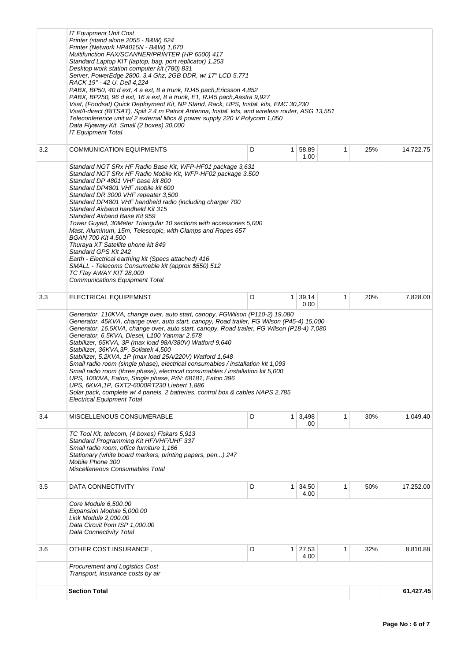|     | <b>IT Equipment Unit Cost</b><br>Printer (stand alone 2055 - B&W) 624<br>Printer (Network HP4015N - B&W) 1,670<br>Multifunction FAX/SCANNER/PRINTER (HP 6500) 417<br>Standard Laptop KIT (laptop, bag, port replicator) 1,253<br>Desktop work station computer kit (780) 831<br>Server, PowerEdge 2800, 3.4 Ghz, 2GB DDR, w/ 17" LCD 5,771<br>RACK 19" - 42 U, Dell 4,224<br>PABX, BP50, 40 d ext, 4 a ext, 8 a trunk, RJ45 pach, Ericsson 4,852<br>PABX, BP250, 96 d ext, 16 a ext, 8 a trunk, E1, RJ45 pach,Aastra 9,927<br>Vsat, (Foodsat) Quick Deployment Kit, NP Stand, Rack, UPS, Instal. kits, EMC 30,230<br>Vsat/l-direct (BITSAT), Split 2.4 m Patriot Antenna, Instal. kits, and wireless router, ASG 13,551<br>Teleconference unit w/2 external Mics & power supply 220 V Polycom 1,050<br>Data Flyaway Kit, Small (2 boxes) 30,000<br><b>IT Equipment Total</b>                    |   |                |               |   |     |           |  |  |
|-----|-------------------------------------------------------------------------------------------------------------------------------------------------------------------------------------------------------------------------------------------------------------------------------------------------------------------------------------------------------------------------------------------------------------------------------------------------------------------------------------------------------------------------------------------------------------------------------------------------------------------------------------------------------------------------------------------------------------------------------------------------------------------------------------------------------------------------------------------------------------------------------------------------|---|----------------|---------------|---|-----|-----------|--|--|
| 3.2 | <b>COMMUNICATION EQUIPMENTS</b>                                                                                                                                                                                                                                                                                                                                                                                                                                                                                                                                                                                                                                                                                                                                                                                                                                                                 | D | 1 <sup>1</sup> | 58,89<br>1.00 | 1 | 25% | 14,722.75 |  |  |
|     | Standard NGT SRx HF Radio Base Kit, WFP-HF01 package 3,631<br>Standard NGT SRx HF Radio Mobile Kit, WFP-HF02 package 3,500<br>Standard DP 4801 VHF base kit 800<br>Standard DP4801 VHF mobile kit 600<br>Standard DR 3000 VHF repeater 3,500<br>Standard DP4801 VHF handheld radio (including charger 700<br>Standard Airband handheld Kit 315<br>Standard Airband Base Kit 959<br>Tower Guyed, 30Meter Triangular 10 sections with accessories 5,000<br>Mast, Aluminum, 15m, Telescopic, with Clamps and Ropes 657<br><b>BGAN 700 Kit 4,500</b><br>Thuraya XT Satellite phone kit 849<br>Standard GPS Kit 242<br>Earth - Electrical earthing kit (Specs attached) 416<br>SMALL - Telecoms Consumeble kit (approx \$550) 512<br>TC Flay AWAY KIT 28,000<br>Communications Equipment Total                                                                                                       |   |                |               |   |     |           |  |  |
| 3.3 | ELECTRICAL EQUIPEMNST                                                                                                                                                                                                                                                                                                                                                                                                                                                                                                                                                                                                                                                                                                                                                                                                                                                                           | D | 1              | 39,14<br>0.00 | 1 | 20% | 7,828.00  |  |  |
|     | Generator, 110KVA, change over, auto start, canopy, FGWilson (P110-2) 19,080<br>Generator, 45KVA, change over, auto start, canopy, Road trailer, FG Wilson (P45-4) 15,000<br>Generator, 16.5KVA, change over, auto start, canopy, Road trailer, FG Wilson (P18-4) 7,080<br>Generator, 6.5KVA, Diesel, L100 Yanmar 2,678<br>Stabilizer, 65KVA, 3P (max load 98A/380V) Watford 9,640<br>Stabilizer, 36KVA, 3P, Sollatek 4,500<br>Stabilizer, 5.2KVA, 1P (max load 25A/220V) Watford 1,648<br>Small radio room (single phase), electrical consumables / installation kit 1,093<br>Small radio room (three phase), electrical consumables / installation kit 5,000<br>UPS, 1000VA, Eaton, Single phase, P/N: 68181, Eaton 396<br>UPS, 6KVA, 1P, GXT2-6000RT230 Liebert 1,886<br>Solar pack, complete w/ 4 panels, 2 batteries, control box & cables NAPS 2,785<br><b>Electrical Equipment Total</b> |   |                |               |   |     |           |  |  |
| 3.4 | MISCELLENOUS CONSUMERABLE                                                                                                                                                                                                                                                                                                                                                                                                                                                                                                                                                                                                                                                                                                                                                                                                                                                                       | D | 1 <sup>1</sup> | 3,498         | 1 | 30% | 1,049.40  |  |  |
|     | .00<br>TC Tool Kit, telecom, (4 boxes) Fiskars 5,913<br>Standard Programming Kit HF/VHF/UHF 337<br>Small radio room, office furniture 1,166<br>Stationary (white board markers, printing papers, pen) 247<br>Mobile Phone 300<br>Miscellaneous Consumables Total                                                                                                                                                                                                                                                                                                                                                                                                                                                                                                                                                                                                                                |   |                |               |   |     |           |  |  |
| 3.5 | DATA CONNECTIVITY                                                                                                                                                                                                                                                                                                                                                                                                                                                                                                                                                                                                                                                                                                                                                                                                                                                                               | D | 1 <sup>1</sup> | 34,50<br>4.00 | 1 | 50% | 17,252.00 |  |  |
|     | Core Module 6,500.00<br>Expansion Module 5,000.00<br>Link Module 2,000.00<br>Data Circuit from ISP 1,000.00<br>Data Connectivity Total                                                                                                                                                                                                                                                                                                                                                                                                                                                                                                                                                                                                                                                                                                                                                          |   |                |               |   |     |           |  |  |
| 3.6 | OTHER COST INSURANCE,                                                                                                                                                                                                                                                                                                                                                                                                                                                                                                                                                                                                                                                                                                                                                                                                                                                                           | D | $\mathbf{1}$   | 27,53<br>4.00 | 1 | 32% | 8,810.88  |  |  |
|     | <b>Procurement and Logistics Cost</b><br>Transport, insurance costs by air                                                                                                                                                                                                                                                                                                                                                                                                                                                                                                                                                                                                                                                                                                                                                                                                                      |   |                |               |   |     |           |  |  |
|     | <b>Section Total</b>                                                                                                                                                                                                                                                                                                                                                                                                                                                                                                                                                                                                                                                                                                                                                                                                                                                                            |   |                |               |   |     | 61,427.45 |  |  |